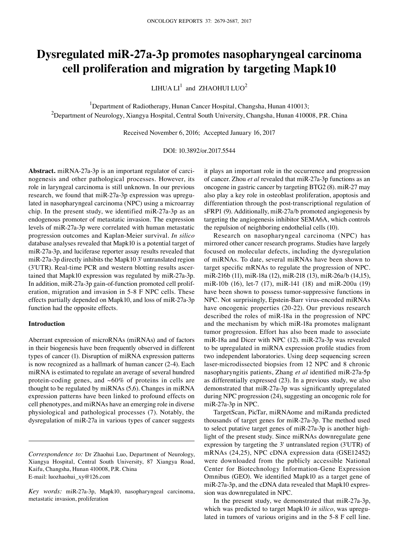# **Dysregulated miR-27a-3p promotes nasopharyngeal carcinoma cell proliferation and migration by targeting Mapk10**

 $LIHUALI<sup>1</sup>$  and ZHAOHUI  $LUO<sup>2</sup>$ 

<sup>1</sup>Department of Radiotherapy, Hunan Cancer Hospital, Changsha, Hunan 410013;  $^2$ Department of Neurology, Xiangya Hospital, Central South University, Changsha, Hunan 410008, P.R. China

Received November 6, 2016; Accepted January 16, 2017

## DOI: 10.3892/or.2017.5544

**Abstract.** miRNA-27a-3p is an important regulator of carcinogenesis and other pathological processes. However, its role in laryngeal carcinoma is still unknown. In our previous research, we found that miR-27a-3p expression was upregulated in nasopharyngeal carcinoma (NPC) using a microarray chip. In the present study, we identified miR-27a-3p as an endogenous promoter of metastatic invasion. The expression levels of miR-27a-3p were correlated with human metastatic progression outcomes and Kaplan-Meier survival. *In silico* database analyses revealed that Mapk10 is a potential target of miR-27a-3p, and luciferase reporter assay results revealed that miR-27a-3p directly inhibits the Mapk10 3' untranslated region (3'UTR). Real-time PCR and western blotting results ascertained that Mapk10 expression was regulated by miR-27a-3p. In addition, miR-27a-3p gain-of-function promoted cell proliferation, migration and invasion in 5-8 F NPC cells. These effects partially depended on Mapk10, and loss of miR-27a-3p function had the opposite effects.

## **Introduction**

Aberrant expression of microRNAs (miRNAs) and of factors in their biogenesis have been frequently observed in different types of cancer (1). Disruption of miRNA expression patterns is now recognized as a hallmark of human cancer (2-4). Each miRNA is estimated to regulate an average of several hundred protein-coding genes, and  $~60\%$  of proteins in cells are thought to be regulated by miRNAs (5,6). Changes in miRNA expression patterns have been linked to profound effects on cell phenotypes, and miRNAs have an emerging role in diverse physiological and pathological processes (7). Notably, the dysregulation of miR-27a in various types of cancer suggests it plays an important role in the occurrence and progression of cancer. Zhou *et al* revealed that miR-27a-3p functions as an oncogene in gastric cancer by targeting BTG2 (8). miR-27 may also play a key role in osteoblast proliferation, apoptosis and differentiation through the post-transcriptional regulation of sFRP1 (9). Additionally, miR-27a/b promoted angiogenesis by targeting the angiogenesis inhibitor SEMA6A, which controls the repulsion of neighboring endothelial cells (10).

Research on nasopharyngeal carcinoma (NPC) has mirrored other cancer research programs. Studies have largely focused on molecular defects, including the dysregulation of miRNAs. To date, several miRNAs have been shown to target specific mRNAs to regulate the progression of NPC. miR-216b (11), miR-18a (12), miR-218 (13), miR-26a/b (14,15), miR-10b (16), let-7 (17), miR-141 (18) and miR-200a (19) have been shown to possess tumor-suppressive functions in NPC. Not surprisingly, Epstein-Barr virus-encoded miRNAs have oncogenic properties (20-22). Our previous research described the roles of miR-18a in the progression of NPC and the mechanism by which miR-18a promotes malignant tumor progression. Effort has also been made to associate miR-18a and Dicer with NPC (12). miR-27a-3p was revealed to be upregulated in miRNA expression profile studies from two independent laboratories. Using deep sequencing screen laser-microdissected biopsies from 12 NPC and 8 chronic nasopharyngitis patients, Zhang *et al* identified miR-27a-5p as differentially expressed (23). In a previous study, we also demonstrated that miR-27a-3p was significantly upregulated during NPC progression (24), suggesting an oncogenic role for miR-27a-3p in NPC.

TargetScan, PicTar, miRNAome and miRanda predicted thousands of target genes for miR-27a-3p. The method used to select putative target genes of miR-27a-3p is another highlight of the present study. Since miRNAs downregulate gene expression by targeting the 3' untranslated region (3'UTR) of mRNAs (24,25), NPC cDNA expression data (GSE12452) were downloaded from the publicly accessible National Center for Biotechnology Information-Gene Expression Omnibus (GEO). We identified Mapk10 as a target gene of miR-27a-3p, and the cDNA data revealed that Mapk10 expression was downregulated in NPC.

In the present study, we demonstrated that miR-27a-3p, which was predicted to target Mapk10 *in silico*, was upregulated in tumors of various origins and in the 5-8 F cell line.

*Correspondence to:* Dr Zhaohui Luo, Department of Neurology, Xiangya Hospital, Central South University, 87 Xiangya Road, Kaifu, Changsha, Hunan 410008, P.R. China E-mail: luozhaohui\_xy@126.com

*Key words:* miR-27a-3p, Mapk10, nasopharyngeal carcinoma, metastatic invasion, proliferation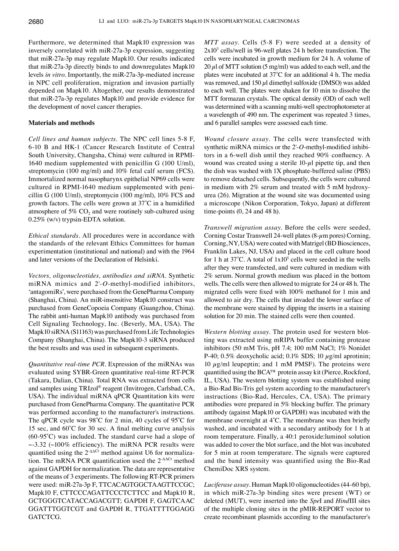Furthermore, we determined that Mapk10 expression was inversely correlated with miR-27a-3p expression, suggesting that miR-27a-3p may regulate Mapk10. Our results indicated that miR-27a-3p directly binds to and downregulates Mapk10 levels *in vitro*. Importantly, the miR-27a-3p-mediated increase in NPC cell proliferation, migration and invasion partially depended on Mapk10. Altogether, our results demonstrated that miR-27a-3p regulates Mapk10 and provide evidence for the development of novel cancer therapies.

## **Materials and methods**

*Cell lines and human subjects.* The NPC cell lines 5-8 F, 6-10 B and HK-1 (Cancer Research Institute of Central South University, Changsha, China) were cultured in RPMI-1640 medium supplemented with penicillin G (100 U/ml), streptomycin (100 mg/ml) and 10% fetal calf serum (FCS). Immortalized normal nasopharynx epithelial NP69 cells were cultured in RPMI-1640 medium supplemented with penicillin G (100 U/ml), streptomycin (100 mg/ml), 10% FCS and growth factors. The cells were grown at 37̊C in a humidified atmosphere of  $5\%$  CO<sub>2</sub> and were routinely sub-cultured using 0.25% (w/v) trypsin-EDTA solution.

*Ethical standards.* All procedures were in accordance with the standards of the relevant Ethics Committees for human experimentation (institutional and national) and with the 1964 and later versions of the Declaration of Helsinki.

*Vectors, oligonucleotides, antibodies and siRNA.* Synthetic miRNA mimics and 2'-*O*-methyl-modified inhibitors, 'antagomiRs', were purchased from the GenePharma Company (Shanghai, China). An miR-insensitive Mapk10 construct was purchased from GeneCopoeia Company (Guangzhou, China). The rabbit anti-human Mapk10 antibody was purchased from Cell Signaling Technology, Inc. (Beverly, MA, USA). The Mapk10 siRNA (S11163) was purchased from Life Technologies Company (Shanghai, China). The Mapk10-3 siRNA produced the best results and was used in subsequent experiments.

*Quantitative real-time PCR.* Expression of the miRNAs was evaluated using SYBR-Green quantitative real-time RT-PCR (Takara, Dalian, China). Total RNA was extracted from cells and samples using TRIzol® reagent (Invitrogen, Carlsbad, CA, USA). The individual miRNA qPCR Quantitation kits were purchased from GenePharma Company. The quantitative PCR was performed according to the manufacturer's instructions. The qPCR cycle was 98̊C for 2 min, 40 cycles of 95̊C for 15 sec, and 60̊C for 30 sec. A final melting curve analysis (60-95̊C) was included. The standard curve had a slope of  $\sim$ -3.32 ( $\sim$ 100% efficiency). The miRNA PCR results were quantified using the 2<sup>-ΔΔCt</sup> method against U6 for normalization. The mRNA PCR quantification used the  $2-\Delta\Delta CL$  method against GAPDH for normalization. The data are representative of the means of 3 experiments. The following RT-PCR primers were used: miR-27a-3p F, TTCACAGTGGCTAAGTTCCGC; Mapk10 F, CTTCCCAGATTCCCTCTTCC and Mapk10 R, GCTGGGTCATACCAGACGTT; GAPDH F, GAGTCAAC GGATTTGGTCGT and GAPDH R, TTGATTTTGGAGG GATCTCG.

*MTT assay.* Cells (5-8 F) were seeded at a density of  $2x10<sup>3</sup>$  cells/well in 96-well plates 24 h before transfection. The cells were incubated in growth medium for 24 h. A volume of  $20 \mu$ l of MTT solution (5 mg/ml) was added to each well, and the plates were incubated at 37̊C for an additional 4 h. The media was removed, and 150  $\mu$ l dimethyl sulfoxide (DMSO) was added to each well. The plates were shaken for 10 min to dissolve the MTT formazan crystals. The optical density (OD) of each well was determined with a scanning multi-well spectrophotometer at a wavelength of 490 nm. The experiment was repeated 3 times, and 6 parallel samples were assessed each time.

*Wound closure assay.* The cells were transfected with synthetic miRNA mimics or the 2'-*O*-methyl-modified inhibitors in a 6-well dish until they reached 90% confluency. A wound was created using a sterile  $10-\mu l$  pipette tip, and then the dish was washed with 1X phosphate-buffered saline (PBS) to remove detached cells. Subsequently, the cells were cultured in medium with 2% serum and treated with 5 mM hydroxyurea (26). Migration at the wound site was documented using a microscope (Nikon Corporation, Tokyo, Japan) at different time-points (0, 24 and 48 h).

*Transwell migration assay.* Before the cells were seeded, Corning Costar Transwell 24-well plates  $(8-\mu m)$  pores) Corning, Corning, NY, USA) were coated with Matrigel (BD Biosciences, Franklin Lakes, NJ, USA) and placed in the cell culture hood for 1 h at  $37^{\circ}$ C. A total of  $1x10^5$  cells were seeded in the wells after they were transfected, and were cultured in medium with 2% serum. Normal growth medium was placed in the bottom wells. The cells were then allowed to migrate for 24 or 48 h. The migrated cells were fixed with 100% methanol for 1 min and allowed to air dry. The cells that invaded the lower surface of the membrane were stained by dipping the inserts in a staining solution for 20 min. The stained cells were then counted.

*Western blotting assay.* The protein used for western blotting was extracted using mRIPA buffer containing protease inhibitors (50 mM Tris, pH 7.4; 100 mM NaCl; 1% Nonidet P-40; 0.5% deoxycholic acid; 0.1% SDS; 10  $\mu$ g/ml aprotinin; 10  $\mu$ g/ml leupeptin; and 1 mM PMSF). The proteins were quantified using the BCA™ protein assay kit (Pierce, Rockford, IL, USA). The western blotting system was established using a Bio-Rad Bis-Tris gel system according to the manufacturer's instructions (Bio-Rad, Hercules, CA, USA). The primary antibodies were prepared in 5% blocking buffer. The primary antibody (against Mapk10 or GAPDH) was incubated with the membrane overnight at 4̊C. The membrane was then briefly washed, and incubated with a secondary antibody for 1 h at room temperature. Finally, a 40:1 peroxide:luminol solution was added to cover the blot surface, and the blot was incubated for 5 min at room temperature. The signals were captured and the band intensity was quantified using the Bio-Rad ChemiDoc XRS system.

*Luciferase assay.* Human Mapk10 oligonucleotides (44-60 bp), in which miR-27a-3p binding sites were present (WT) or deleted (MUT), were inserted into the *Spe*I and *Hind*III sites of the multiple cloning sites in the pMIR-REPORT vector to create recombinant plasmids according to the manufacturer's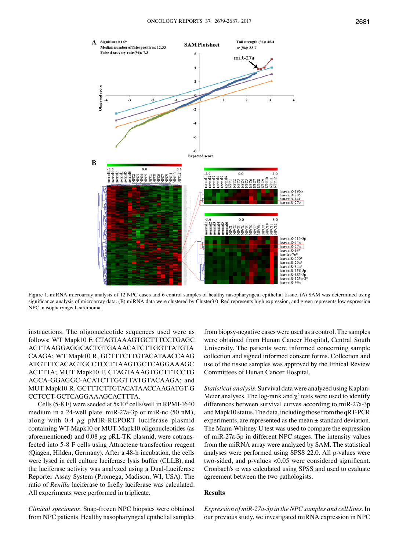

Figure 1. miRNA microarray analysis of 12 NPC cases and 6 control samples of healthy nasopharyngeal epithelial tissue. (A) SAM was determined using significance analysis of microarray data. (B) miRNA data were clustered by Cluster3.0. Red represents high expression, and green represents low expression NPC, nasopharyngeal carcinoma.

instructions. The oligonucleotide sequences used were as follows: WT Mapk10 F, CTAGTAAAGTGCTTTCCTGAGC ACTTAAGGAGGCACTGTGAAACATCTTGGTTATGTA CAAGA; WT Mapk10 R, GCTTTCTTGTACATAACCAAG ATGTTTCACAGTGCCTCCTTAAGTGCTCAGGAAAGC ACTTTA; MUT Mapk10 F, CTAGTAAAGTGCTTTCCTG AGCA-GGAGGC-ACATCTTGGTTATGTACAAGA; and MUT Mapk10 R, GCTTTCTTGTACATAACCAAGATGT-G CCTCCT-GCTCAGGAAAGCACTTTA.

Cells (5-8 F) were seeded at 5x104 cells/well in RPMI-1640 medium in a 24-well plate. miR-27a-3p or miR-nc (50 nM), along with 0.4  $\mu$ g pMIR-REPORT luciferase plasmid containing WT-Mapk10 or MUT-Mapk10 oligonucleotides (as aforementioned) and  $0.08 \mu$ g pRL-TK plasmid, were cotransfected into 5-8 F cells using Attractene transfection reagent (Qiagen, Hilden, Germany). After a 48-h incubation, the cells were lysed in cell culture luciferase lysis buffer (CLLB), and the luciferase activity was analyzed using a Dual-Luciferase Reporter Assay System (Promega, Madison, WI, USA). The ratio of *Renilla* luciferase to firefly luciferase was calculated. All experiments were performed in triplicate.

*Clinical specimens.* Snap-frozen NPC biopsies were obtained from NPC patients. Healthy nasopharyngeal epithelial samples

from biopsy-negative cases were used as a control. The samples were obtained from Hunan Cancer Hospital, Central South University. The patients were informed concerning sample collection and signed informed consent forms. Collection and use of the tissue samples was approved by the Ethical Review Committees of Hunan Cancer Hospital.

*Statistical analysis.* Survival data were analyzed using Kaplan-Meier analyses. The log-rank and  $\chi^2$  tests were used to identify differences between survival curves according to miR-27a-3p and Mapk10 status. The data, including those from the qRT-PCR experiments, are represented as the mean ± standard deviation. The Mann-Whitney U test was used to compare the expression of miR-27a-3p in different NPC stages. The intensity values from the miRNA array were analyzed by SAM. The statistical analyses were performed using SPSS 22.0. All p-values were two-sided, and p-values <0.05 were considered significant. Cronbach's  $\alpha$  was calculated using SPSS and used to evaluate agreement between the two pathologists.

#### **Results**

*Expression of miR-27a-3p in the NPC samples and cell lines.* In our previous study, we investigated miRNA expression in NPC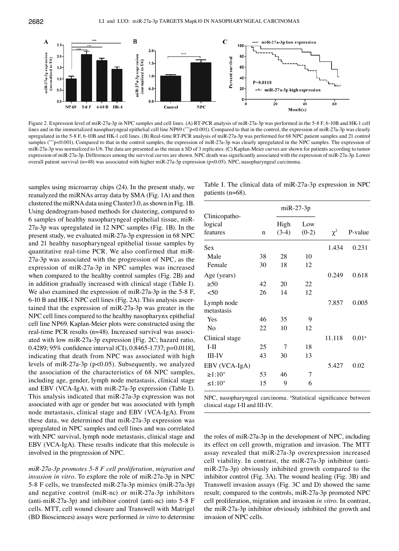

Figure 2. Expression level of miR-27a-3p in NPC samples and cell lines. (A) RT-PCR analysis of miR-27a-3p was performed in the 5-8 F, 6-10B and HK-1 cell lines and in the immortalized nasopharyngeal epithelial cell line NP69 (\*\*\*p<0.001). Compared to that in the control, the expression of miR-27a-3p was clearly upregulated in the 5-8 F, 6-10B and HK-1 cell lines. (B) Real-time RT-PCR analysis of miR-27a-3p was performed for 68 NPC patient samples and 21 control samples (\*\*\*p<0.001). Compared to that in the control samples, the expression of miR-27a-3p was clearly upregulated in the NPC samples. The expression of miR-27a-3p was normalized to U6. The data are presented as the mean  $\pm$  SD of 3 replicates. (C) Kaplan-Meier curves are shown for patients according to tumor expression of miR-27a-3p. Differences among the survival curves are shown. NPC death was significantly associated with the expression of miR-27a-3p. Lower overall patient survival (n=48) was associated with higher miR-27a-3p expression (p<0.05). NPC, nasopharyngeal carcinoma.

samples using microarray chips (24). In the present study, we reanalyzed the miRNAs array data by SMA (Fig. 1A) and then clustered the miRNA data using Cluster3.0, as shown in Fig. 1B. Using dendrogram-based methods for clustering, compared to 6 samples of healthy nasopharyngeal epithelial tissue, miR-27a-3p was upregulated in 12 NPC samples (Fig. 1B). In the present study, we evaluated miR-27a-3p expression in 68 NPC and 21 healthy nasopharyngeal epithelial tissue samples by quantitative real-time PCR. We also confirmed that miR-27a-3p was associated with the progression of NPC, as the expression of miR-27a-3p in NPC samples was increased when compared to the healthy control samples (Fig. 2B) and in addition gradually increased with clinical stage (Table I). We also examined the expression of miR-27a-3p in the 5-8 F, 6-10 B and HK-1 NPC cell lines (Fig. 2A). This analysis ascertained that the expression of miR-27a-3p was greater in the NPC cell lines compared to the healthy nasopharynx epithelial cell line NP69. Kaplan-Meier plots were constructed using the real-time PCR results (n=48). Increased survival was associated with low miR-27a-3p expression [Fig. 2C; hazard ratio, 0.4289; 95% confidence interval (CI), 0.8465-1.737; p=0.0118], indicating that death from NPC was associated with high levels of miR-27a-3p (p<0.05). Subsequently, we analyzed the association of the characteristics of 68 NPC samples, including age, gender, lymph node metastasis, clinical stage and EBV (VCA-IgA), with miR-27a-3p expression (Table I). This analysis indicated that miR-27a-3p expression was not associated with age or gender but was associated with lymph node metastasis, clinical stage and EBV (VCA-IgA). From these data, we determined that miR-27a-3p expression was upregulated in NPC samples and cell lines and was correlated with NPC survival, lymph node metastasis, clinical stage and EBV (VCA-IgA). These results indicate that this molecule is involved in the progression of NPC.

*miR-27a-3p promotes 5-8 F cell proliferation, migration and invasion in vitro.* To explore the role of miR-27a-3p in NPC 5-8 F cells, we transfected miR-27a-3p mimics (miR-27a-3p) and negative control (miR-nc) or miR-27a-3p inhibitors (anti-miR-27a-3p) and inhibitor control (anti-nc) into 5-8 F cells. MTT, cell wound closure and Transwell with Matrigel (BD Biosciences) assays were performed *in vitro* to determine

|                     | Table I. The clinical data of $\text{miR-27a-3p}$ expression in NPC |  |
|---------------------|---------------------------------------------------------------------|--|
| patients $(n=68)$ . |                                                                     |  |

|                                      | $miR-27-3p$ |                 |                |          |                   |
|--------------------------------------|-------------|-----------------|----------------|----------|-------------------|
| Clinicopatho-<br>logical<br>features | $\mathbf n$ | High<br>$(3-4)$ | Low<br>$(0-2)$ | $\chi^2$ | P-value           |
| Sex                                  |             |                 |                | 1.434    | 0.231             |
| Male                                 | 38          | 28              | 10             |          |                   |
| Female                               | 30          | 18              | 12             |          |                   |
| Age (years)                          |             |                 |                | 0.249    | 0.618             |
| $\geq 50$                            | 42          | 20              | 22             |          |                   |
| $50$                                 | 26          | 14              | 12             |          |                   |
| Lymph node<br>metastasis             |             |                 |                | 7.857    | 0.005             |
| Yes                                  | 46          | 35              | 9              |          |                   |
| N <sub>o</sub>                       | 22          | 10              | 12             |          |                   |
| Clinical stage                       |             |                 |                | 11.118   | 0.01 <sup>a</sup> |
| $I-II$                               | 25          | 7               | 18             |          |                   |
| III-IV                               | 43          | 30              | 13             |          |                   |
| EBV (VCA-IgA)                        |             |                 |                | 5.427    | 0.02              |
| $\geq 1:10^{+}$                      | 53          | 46              | 7              |          |                   |
| $\leq 1:10^{+}$                      | 15          | 9               | 6              |          |                   |

NPC, nasopharyngeal carcinoma. <sup>a</sup>Statistical significance between clinical stage I-II and III-IV.

the roles of miR-27a-3p in the development of NPC, including its effect on cell growth, migration and invasion. The MTT assay revealed that miR-27a-3p overexpression increased cell viability. In contrast, the miR-27a-3p inhibitor (antimiR-27a-3p) obviously inhibited growth compared to the inhibitor control (Fig. 3A). The wound healing (Fig. 3B) and Transwell invasion assays (Fig. 3C and D) showed the same result; compared to the controls, miR-27a-3p promoted NPC cell proliferation, migration and invasion *in vitro*. In contrast, the miR-27a-3p inhibitor obviously inhibited the growth and invasion of NPC cells.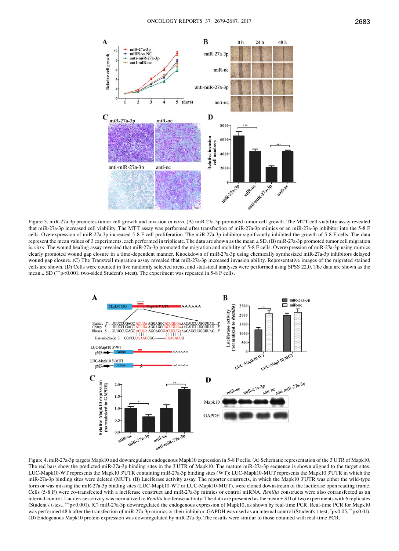

Figure 3. miR-27a-3p promotes tumor cell growth and invasion *in vitro*. (A) miR-27a-3p promoted tumor cell growth. The MTT cell viability assay revealed that miR-27a-3p increased cell viability. The MTT assay was performed after transfection of miR-27a-3p mimics or an miR-27a-3p inhibitor into the 5-8 F cells. Overexpression of miR-27a-3p increased 5-8 F cell proliferation. The miR-27a-3p inhibitor significantly inhibited the growth of 5-8 F cells. The data represent the mean values of 3 experiments, each performed in triplicate. The data are shown as the mean ± SD. (B) miR-27a-3p promoted tumor cell migration *in* vitro. The wound healing assay revealed that miR-27a-3p promoted the migration and mobility of 5-8 F cells. Overexpression of miR-27a-3p using mimics clearly promoted wound gap closure in a time-dependent manner. Knockdown of miR-27a-3p using chemically synthesized miR-27a-3p inhibitors delayed wound gap closure. (C) The Transwell migration assay revealed that miR-27a-3p increased invasion ability. Representative images of the migrated stained cells are shown. (D) Cells were counted in five randomly selected areas, and statistical analyses were performed using SPSS 22.0. The data are shown as the mean ± SD (\*\*\*p<0.001; two-sided Student's t-test). The experiment was repeated in 5-8 F cells.



Figure 4. miR-27a-3p targets Mapk10 and downregulates endogenous Mapk10 expression in 5-8 F cells. (A) Schematic representation of the 3'UTR of Mapk10. The red bars show the predicted miR-27a-3p binding sites in the 3'UTR of Mapk10. The mature miR-27a-3p sequence is shown aligned to the target sites. LUC-Mapk10-WT represents the Mapk10 3'UTR containing miR-27a-3p binding sites (WT); LUC-Mapk10-MUT represents the Mapk10 3'UTR in which the miR-27a-3p binding sites were deleted (MUT). (B) Luciferase activity assay. The reporter constructs, in which the Mapk10 3'UTR was either the wild-type form or was missing the miR-27a-3p binding sites (LUC-Mapk10-WT or LUC-Mapk10-MUT), were cloned downstream of the luciferase open reading frame. Cells (5-8 F) were co-transfected with a luciferase construct and miR-27a-3p mimics or control miRNA. *Renilla* constructs were also cotransfected as an internal control. Luciferase activity was normalized to Renilla luciferase activity. The data are presented as the mean  $\pm$  SD of two experiments with 6 replicates (Student's t-test, \*\*\*p<0.001). (C) miR-27a-3p downregulated the endogenous expression of Mapk10, as shown by real-time PCR. Real-time PCR for Mapk10 was performed 48 h after the transfection of miR-27a-3p mimics or their inhibitor. GAPDH was used as an internal control (Student's t-test; \*p<0.05, \*p<0.01). (D) Endogenous Mapk10 protein expression was downregulated by miR-27a-3p. The results were similar to those obtained with real-time PCR.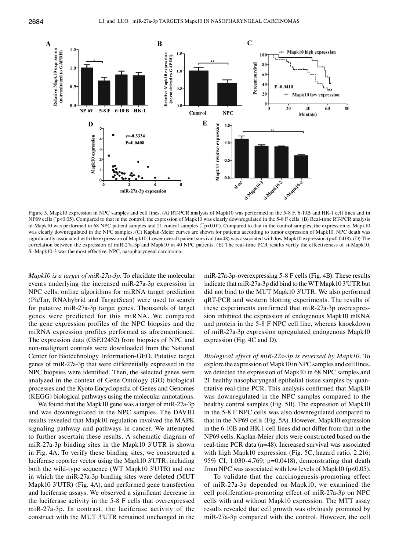

Figure 5. Mapk10 expression in NPC samples and cell lines. (A) RT-PCR analysis of Mapk10 was performed in the 5-8 F, 6-10B and HK-1 cell lines and in NP69 cells (\*p<0.05). Compared to that in the control, the expression of Mapk10 was clearly downregulated in the 5-8 F cells. (B) Real-time RT-PCR analysis of Mapk10 was performed in 68 NPC patient samples and 21 control samples (\*p<0.01). Compared to that in the control samples, the expression of Mapk10 was clearly downregulated in the NPC samples. (C) Kaplan-Meier curves are shown for patients according to tumor expression of Mapk10. NPC death was significantly associated with the expression of Mapk10. Lower overall patient survival  $(n=48)$  was associated with low Mapk10 expression  $(p=0.0418)$ . (D) The correlation between the expression of miR-27a-3p and Mapk10 in 40 NPC patients. (E) The real-time PCR results verify the effectiveness of si-Mapk10. Si-Mapk10-3 was the most effective. NPC, nasopharyngeal carcinoma.

*Mapk10 is a target of miR-27a-3p.* To elucidate the molecular events underlying the increased miR-27a-3p expression in NPC cells, online algorithms for miRNA target prediction (PicTar, RNAhybrid and TargetScan) were used to search for putative miR-27a-3p target genes. Thousands of target genes were predicted for this miRNA. We compared the gene expression profiles of the NPC biopsies and the miRNA expression profiles performed as aforementioned. The expression data (GSE12452) from biopsies of NPC and non-malignant controls were downloaded from the National Center for Biotechnology Information-GEO. Putative target genes of miR-27a-3p that were differentially expressed in the NPC biopsies were identified. Then, the selected genes were analyzed in the context of Gene Ontology (GO) biological processes and the Kyoto Encyclopedia of Genes and Genomes (KEGG) biological pathways using the molecular annotations.

We found that the Mapk10 gene was a target of miR-27a-3p and was downregulated in the NPC samples. The DAVID results revealed that Mapk10 regulation involved the MAPK signaling pathway and pathways in cancer. We attempted to further ascertain these results. A schematic diagram of miR-27a-3p binding sites in the Mapk10 3'UTR is shown in Fig. 4A. To verify these binding sites, we constructed a luciferase reporter vector using the Mapk10 3'UTR, including both the wild-type sequence (WT Mapk10 3'UTR) and one in which the miR-27a-3p binding sites were deleted (MUT Mapk10 3'UTR) (Fig. 4A), and performed gene transfection and luciferase assays. We observed a significant decrease in the luciferase activity in the 5-8 F cells that overexpressed miR-27a-3p. In contrast, the luciferase activity of the construct with the MUT 3'UTR remained unchanged in the

miR-27a-3p-overexpressing 5-8 F cells (Fig. 4B). These results indicate that miR-27a-3p did bind to the WT Mapk10 3'UTR but did not bind to the MUT Mapk10 3'UTR. We also performed qRT-PCR and western blotting experiments. The results of these experiments confirmed that miR-27a-3p overexpression inhibited the expression of endogenous Mapk10 mRNA and protein in the 5-8 F NPC cell line, whereas knockdown of miR-27a-3p expression upregulated endogenous Mapk10 expression (Fig. 4C and D).

*Biological effect of miR-27a-3p is reversed by Mapk10.* To explore the expression of Mapk10 in NPC samples and cell lines, we detected the expression of Mapk10 in 68 NPC samples and 21 healthy nasopharyngeal epithelial tissue samples by quantitative real-time PCR. This analysis confirmed that Mapk10 was downregulated in the NPC samples compared to the healthy control samples (Fig. 5B). The expression of Mapk10 in the 5-8 F NPC cells was also downregulated compared to that in the NP69 cells (Fig. 5A). However, Mapk10 expression in the 6-10B and HK-1 cell lines did not differ from that in the NP69 cells. Kaplan-Meier plots were constructed based on the real-time PCR data (n=48). Increased survival was associated with high Mapk10 expression (Fig. 5C, hazard ratio, 2.216; 95% CI, 1.030-4.769; p=0.0418), demonstrating that death from NPC was associated with low levels of Mapk10 ( $p$ <0.05).

To validate that the carcinogenesis-promoting effect of miR-27a-3p depended on Mapk10, we examined the cell proliferation-promoting effect of miR-27a-3p on NPC cells with and without Mapk10 expression. The MTT assay results revealed that cell growth was obviously promoted by miR-27a-3p compared with the control. However, the cell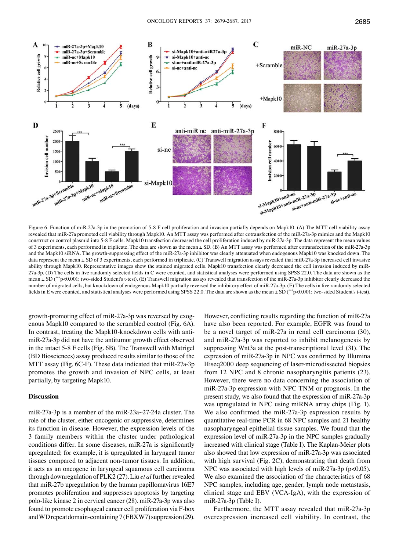

Figure 6. Function of miR-27a-3p in the promotion of 5-8 F cell proliferation and invasion partially depends on Mapk10. (A) The MTT cell viability assay revealed that miR-27a promoted cell viability through Mapk10. An MTT assay was performed after cotransfection of the miR-27a-3p mimics and the Mapk10 construct or control plasmid into 5-8 F cells. Mapk10 transfection decreased the cell proliferation induced by miR-27a-3p. The data represent the mean values of 3 experiments, each performed in triplicate. The data are shown as the mean ± SD. (B) An MTT assay was performed after cotransfection of the miR-27a-3p and the Mapk10 siRNA. The growth-suppressing effect of the miR-27a-3p inhibitor was clearly attenuated when endogenous Mapk10 was knocked down. The data represent the mean ± SD of 3 experiments, each performed in triplicate. (C) Transwell migration assays revealed that miR-27a-3p increased cell invasive ability through Mapk10. Representative images show the stained migrated cells. Mapk10 transfection clearly decreased the cell invasion induced by miR-27a-3p. (D) The cells in five randomly selected fields in C were counted, and statistical analyses were performed using SPSS 22.0. The data are shown as the mean  $\pm$  SD (\*\*\*p<0.001; two-sided Student's t-test). (E) Transwell migration assays revealed that transfection of the miR-27a-3p inhibitor clearly decreased the number of migrated cells, but knockdown of endogenous Mapk10 partially reversed the inhibitory effect of miR-27a-3p. (F) The cells in five randomly selected fields in E were counted, and statistical analyses were performed using SPSS 22.0. The data are shown as the mean ± SD (\*\*\*p<0.001; two-sided Student's t-test).

growth-promoting effect of miR-27a-3p was reversed by exogenous Mapk10 compared to the scrambled control (Fig. 6A). In contrast, treating the Mapk10-knockdown cells with antimiR-27a-3p did not have the antitumor growth effect observed in the intact 5-8 F cells (Fig. 6B). The Transwell with Matrigel (BD Biosciences) assay produced results similar to those of the MTT assay (Fig. 6C-F). These data indicated that miR-27a-3p promotes the growth and invasion of NPC cells, at least partially, by targeting Mapk10.

## **Discussion**

miR-27a-3p is a member of the miR-23a~27-24a cluster. The role of the cluster, either oncogenic or suppressive, determines its function in disease. However, the expression levels of the 3 family members within the cluster under pathological conditions differ. In some diseases, miR-27a is significantly upregulated; for example, it is upregulated in laryngeal tumor tissues compared to adjacent non-tumor tissues. In addition, it acts as an oncogene in laryngeal squamous cell carcinoma through downregulation of PLK2 (27). Liu *et al* further revealed that miR-27b upregulation by the human papillomavirus 16E7 promotes proliferation and suppresses apoptosis by targeting polo-like kinase 2 in cervical cancer (28). miR-27a-3p was also found to promote esophageal cancer cell proliferation via F-box and WD repeat domain-containing 7 (FBXW7) suppression (29). However, conflicting results regarding the function of miR-27a have also been reported. For example, EGFR was found to be a novel target of miR-27a in renal cell carcinoma (30), and miR-27a-3p was reported to inhibit melanogenesis by suppressing Wnt3a at the post-transcriptional level (31). The expression of miR-27a-3p in NPC was confirmed by Illumina Hiseq2000 deep sequencing of laser-microdissected biopsies from 12 NPC and 8 chronic nasopharyngitis patients (23). However, there were no data concerning the association of miR-27a-3p expression with NPC TNM or prognosis. In the present study, we also found that the expression of miR-27a-3p was upregulated in NPC using miRNA array chips (Fig. 1). We also confirmed the miR-27a-3p expression results by quantitative real-time PCR in 68 NPC samples and 21 healthy nasopharyngeal epithelial tissue samples. We found that the expression level of miR-27a-3p in the NPC samples gradually increased with clinical stage (Table I). The Kaplan-Meier plots also showed that low expression of miR-27a-3p was associated with high survival (Fig. 2C), demonstrating that death from NPC was associated with high levels of miR-27a-3p (p<0.05). We also examined the association of the characteristics of 68 NPC samples, including age, gender, lymph node metastasis, clinical stage and EBV (VCA-IgA), with the expression of miR-27a-3p (Table I).

Furthermore, the MTT assay revealed that miR-27a-3p overexpression increased cell viability. In contrast, the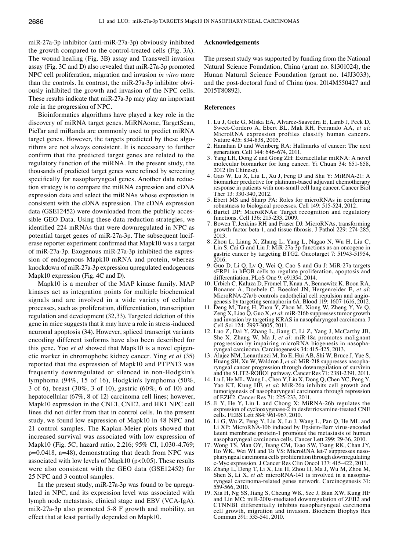miR-27a-3p inhibitor (anti-miR-27a-3p) obviously inhibited the growth compared to the control-treated cells (Fig. 3A). The wound healing (Fig. 3B) assay and Transwell invasion assay (Fig. 3C and D) also revealed that miR-27a-3p promoted NPC cell proliferation, migration and invasion *in vitro* more than the controls. In contrast, the miR-27a-3p inhibitor obviously inhibited the growth and invasion of the NPC cells. These results indicate that miR-27a-3p may play an important role in the progression of NPC.

Bioinformatics algorithms have played a key role in the discovery of miRNA target genes. MiRNAome, TargetScan, PicTar and miRanda are commonly used to predict miRNA target genes. However, the targets predicted by these algorithms are not always consistent. It is necessary to further confirm that the predicted target genes are related to the regulatory function of the miRNA. In the present study, the thousands of predicted target genes were refined by screening specifically for nasopharyngeal genes. Another data reduction strategy is to compare the miRNA expression and cDNA expression data and select the miRNAs whose expression is consistent with the cDNA expression. The cDNA expression data (GSE12452) were downloaded from the publicly accessible GEO Data. Using these data reduction strategies, we identified 224 mRNAs that were downregulated in NPC as potential target genes of miR-27a-3p. The subsequent luciferase reporter experiment confirmed that Mapk10 was a target of miR-27a-3p. Exogenous miR-27a-3p inhibited the expression of endogenous Mapk10 mRNA and protein, whereas knockdown of miR-27a-3p expression upregulated endogenous Mapk10 expression (Fig. 4C and D).

Mapk10 is a member of the MAP kinase family. MAP kinases act as integration points for multiple biochemical signals and are involved in a wide variety of cellular processes, such as proliferation, differentiation, transcription regulation and development (32,33). Targeted deletion of this gene in mice suggests that it may have a role in stress-induced neuronal apoptosis (34). However, spliced transcript variants encoding different isoforms have also been described for this gene. Yoo *et al* showed that Mapk10 is a novel epigenetic marker in chromophobe kidney cancer. Ying *et al* (35) reported that the expression of Mapk10 and PTPN13 was frequently downregulated or silenced in non-Hodgkin's lymphoma (94%, 15 of 16), Hodgkin's lymphoma (50%, 3 of 6), breast (30%, 3 of 10), gastric (60%, 6 of 10) and hepatocellular (67%, 8 of 12) carcinoma cell lines; however, Mapk10 expression in the CNE1, CNE2, and HK1 NPC cell lines did not differ from that in control cells. In the present study, we found low expression of Mapk10 in 48 NPC and 21 control samples. The Kaplan-Meier plots showed that increased survival was associated with low expression of Mapk10 (Fig. 5C, hazard ratio, 2.216; 95% CI, 1.030-4.769; p=0.0418, n=48), demonstrating that death from NPC was associated with low levels of Mapk10 ( $p<0.05$ ). These results were also consistent with the GEO data (GSE12452) for 25 NPC and 3 control samples.

In the present study, miR-27a-3p was found to be upregulated in NPC, and its expression level was associated with lymph node metastasis, clinical stage and EBV (VCA-IgA). miR-27a-3p also promoted 5-8 F growth and mobility, an effect that at least partially depended on Mapk10.

### **Acknowledgements**

The present study was supported by funding from the National Natural Science Foundation, China (grant no. 81301024), the Hunan Natural Science Foundation (grant no. 14JJ3033), and the post-doctoral fund of China (nos. 2014M550427 and 2015T80892).

#### **References**

- 1. Lu J, Getz G, Miska EA, Alvarez-Saavedra E, Lamb J, Peck D, Sweet-Cordero A, Ebert BL, Mak RH, Ferrando AA, et al: MicroRNA expression profiles classify human cancers. Nature 435: 834-838, 2005.
- 2. Hanahan D and Weinberg RA: Hallmarks of cancer: The next generation. Cell 144: 646-674, 2011.
- 3. Yang LH, Dong Z and Gong ZH: Extracellular miRNA: A novel molecular biomarker for lung cancer. Yi Chuan 34: 651-658, 2012 (In Chinese).
- 4. Gao W, Lu X, Liu L, Xu J, Feng D and Shu Y: MiRNA-21: A biomarker predictive for platinum-based adjuvant chemotherapy response in patients with non-small cell lung cancer. Cancer Biol Ther 13: 330-340, 2012.
- 5. Ebert MS and Sharp PA: Roles for microRNAs in conferring robustness to biological processes. Cell 149: 515-524, 2012.
- 6. Bartel DP: MicroRNAs: Target recognition and regulatory functions. Cell 136: 215-233, 2009.
- 7. Bowen T, Jenkins RH and Fraser DJ: MicroRNAs, transforming growth factor beta-1, and tissue fibrosis. J Pathol 229: 274-285, 2013.
- 8. Zhou L, Liang X, Zhang L, Yang L, Nagao N, Wu H, Liu C, Lin S, Cai G and Liu J: MiR-27a-3p functions as an oncogene in gastric cancer by targeting BTG2. Oncotarget 7: 51943-51954, 2016.
- 9. Guo D, Li Q, Lv Q, Wei Q, Cao S and Gu J: MiR-27a targets sFRP1 in hFOB cells to regulate proliferation, apoptosis and differentiation. PLoS One 9: e91354, 2014.
- 10. Urbich C, Kaluza D, Frömel T, Knau A, Bennewitz K, Boon RA, Bonauer A, Doebele C, Boeckel JN, Hergenreider E, et al: Bonauer A, Doebele C, Boeckel JN, Hergenreider E, *et al*: MicroRNA-27a/b controls endothelial cell repulsion and angio- genesis by targeting semaphorin 6A. Blood 119: 1607-1616, 2012.
- 11. Deng M, Tang H, Zhou Y, Zhou M, Xiong W, Zheng Y, Ye Q, Zeng X, Liao Q, Guo X, *et al*: miR-216b suppresses tumor growth and invasion by targeting KRAS in nasopharyngeal carcinoma. J Cell Sci 124: 2997-3005, 2011.
- 12. Luo Z, Dai Y, Zhang L, Jiang C, Li Z, Yang J, McCarthy JB, She X, Zhang W, Ma J, *et al*: miR-18a promotes malignant progression by impairing microRNA biogenesis in nasopha-<br>ryngeal carcinoma. Carcinogenesis 34: 415-425, 2013.
- 13. Alajez NM, Lenarduzzi M, Ito E, Hui AB, Shi W, Bruce J, Yue S, Huang SH, Xu W, Waldron J, et al: MiR-218 suppresses nasopha-Huang SH, Xu W, Waldron J, *et al*: MiR-218 suppresses nasopha- ryngeal cancer progression through downregulation of survivin and the SLIT2-ROBO1 pathway. Cancer Res 71: 2381-2391, 2011.
- 14. Lu J, He ML, Wang L, Chen Y, Liu X, Dong Q, Chen YC, Peng Y, Yao KT, Kung HF, *et al*: MiR-26a inhibits cell growth and tumorigenesis of nasopharyngeal carcinoma through repression of EZH2. Cancer Res 71: 225-233, 2011.
- 15. Ji Y, He Y, Liu L and Chong X: MiRNA-26b regulates the expression of cyclooxygenase- $\tilde{2}$  in desferrioxamine-treated CNE cells. FEBS Lett 584: 961-967, 2010.
- 16. Li G, Wu Z, Peng Y, Liu X, Lu J, Wang L, Pan Q, He ML and Li XP: MicroRNA-10b induced by Epstein-Barr virus-encoded latent membrane protein-1 promotes the metastasis of human nasopharyngeal carcinoma cells. Cancer Lett 299: 29-36, 2010.
- 17. Wong TS, Man OY, Tsang CM, Tsao SW, Tsang RK, Chan JY, Ho WK, Wei WI and To VS: MicroRNA let-7 suppresses nasopharyngeal carcinoma cells proliferation through downregulating c-Myc expression. J Cancer Res Clin Oncol 137: 415-422, 2011.
- 18. Zhang L, Deng T, Li X, Liu H, Zhou H, Ma J, Wu M, Zhou M, Shen S, Li X, et al: microRNA-141 is involved in a nasopharyngeal carcinoma-related genes network. Carcinogenesis 31: 559-566, 2010.
- 19. Xia H, Ng SS, Jiang S, Cheung WK, Sze J, Bian XW, Kung HF and Lin MC: miR-200a-mediated downregulation of ZEB2 and CTNNB1 differentially inhibits nasopharyngeal carcinoma cell growth, migration and invasion. Biochem Biophys Res Commun 391: 535-541, 2010.